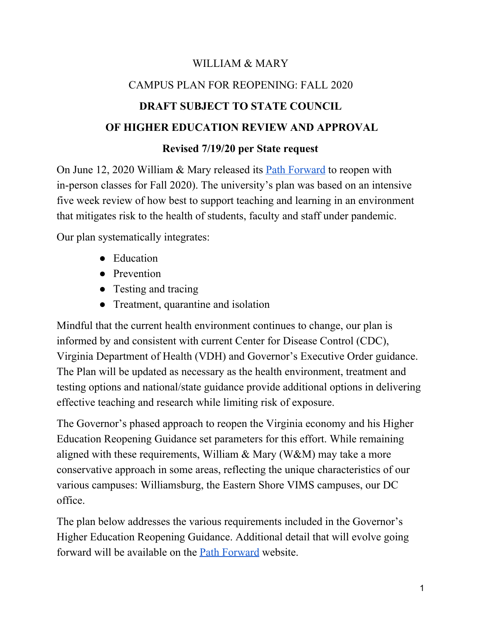# WILLIAM & MARY CAMPUS PLAN FOR REOPENING: FALL 2020 **DRAFT SUBJECT TO STATE COUNCIL OF HIGHER EDUCATION REVIEW AND APPROVAL**

## **Revised 7/19/20 per State request**

On June 12, 2020 William & Mary released it[s](https://www.wm.edu/sites/pathforward/index.php) Path [Forward](https://www.wm.edu/sites/pathforward/index.php) to reopen with in-person classes for Fall 2020). The university's plan was based on an intensive five week review of how best to support teaching and learning in an environment that mitigates risk to the health of students, faculty and staff under pandemic.

Our plan systematically integrates:

- Education
- Prevention
- Testing and tracing
- Treatment, quarantine and isolation

Mindful that the current health environment continues to change, our plan is informed by and consistent with current Center for Disease Control (CDC), Virginia Department of Health (VDH) and Governor's Executive Order guidance. The Plan will be updated as necessary as the health environment, treatment and testing options and national/state guidance provide additional options in delivering effective teaching and research while limiting risk of exposure.

The Governor's phased approach to reopen the Virginia economy and his Higher Education Reopening Guidance set parameters for this effort. While remaining aligned with these requirements, William & Mary (W&M) may take a more conservative approach in some areas, reflecting the unique characteristics of our various campuses: Williamsburg, the Eastern Shore VIMS campuses, our DC office.

The plan below addresses the various requirements included in the Governor's Higher Education Reopening Guidance. Additional detail that will evolve going forward will be available on th[e](https://www.wm.edu/sites/pathforward/index.php) Path [Forward](https://www.wm.edu/sites/pathforward/index.php) website.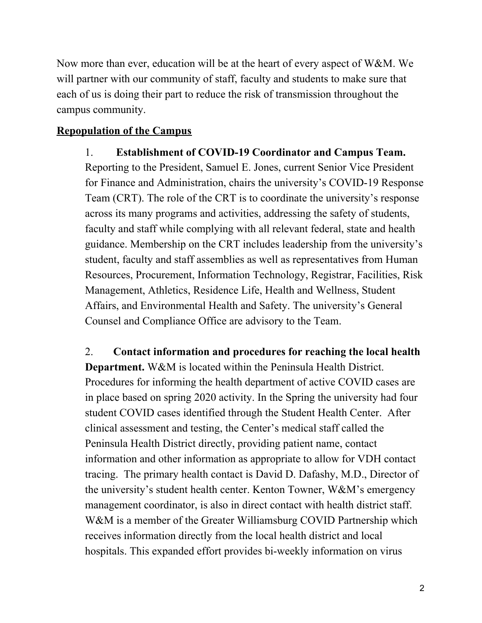Now more than ever, education will be at the heart of every aspect of W&M. We will partner with our community of staff, faculty and students to make sure that each of us is doing their part to reduce the risk of transmission throughout the campus community.

#### **Repopulation of the Campus**

1. **Establishment of COVID-19 Coordinator and Campus Team.** Reporting to the President, Samuel E. Jones, current Senior Vice President for Finance and Administration, chairs the university's COVID-19 Response Team (CRT). The role of the CRT is to coordinate the university's response across its many programs and activities, addressing the safety of students, faculty and staff while complying with all relevant federal, state and health guidance. Membership on the CRT includes leadership from the university's student, faculty and staff assemblies as well as representatives from Human Resources, Procurement, Information Technology, Registrar, Facilities, Risk Management, Athletics, Residence Life, Health and Wellness, Student Affairs, and Environmental Health and Safety. The university's General Counsel and Compliance Office are advisory to the Team.

2. **Contact information and procedures for reaching the local health Department.** W&M is located within the Peninsula Health District. Procedures for informing the health department of active COVID cases are in place based on spring 2020 activity. In the Spring the university had four student COVID cases identified through the Student Health Center. After clinical assessment and testing, the Center's medical staff called the Peninsula Health District directly, providing patient name, contact information and other information as appropriate to allow for VDH contact tracing. The primary health contact is David D. Dafashy, M.D., Director of the university's student health center. Kenton Towner, W&M's emergency management coordinator, is also in direct contact with health district staff. W&M is a member of the Greater Williamsburg COVID Partnership which receives information directly from the local health district and local hospitals. This expanded effort provides bi-weekly information on virus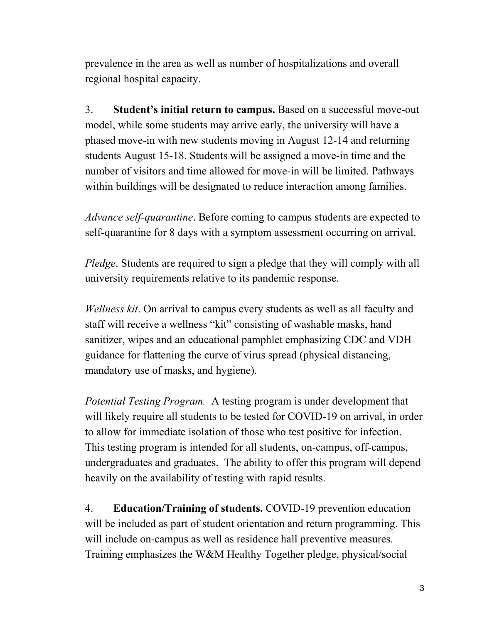prevalence in the area as well as number of hospitalizations and overall regional hospital capacity.

3. **Student's initial return to campus.** Based on a successful move-out model, while some students may arrive early, the university will have a phased move-in with new students moving in August 12-14 and returning students August 15-18. Students will be assigned a move-in time and the number of visitors and time allowed for move-in will be limited. Pathways within buildings will be designated to reduce interaction among families.

*Advance self-quarantine*. Before coming to campus students are expected to self-quarantine for 8 days with a symptom assessment occurring on arrival.

*Pledge*. Students are required to sign a pledge that they will comply with all university requirements relative to its pandemic response.

*Wellness kit*. On arrival to campus every students as well as all faculty and staff will receive a wellness "kit" consisting of washable masks, hand sanitizer, wipes and an educational pamphlet emphasizing CDC and VDH guidance for flattening the curve of virus spread (physical distancing, mandatory use of masks, and hygiene).

*Potential Testing Program.* A testing program is under development that will likely require all students to be tested for COVID-19 on arrival, in order to allow for immediate isolation of those who test positive for infection. This testing program is intended for all students, on-campus, off-campus, undergraduates and graduates. The ability to offer this program will depend heavily on the availability of testing with rapid results.

4. **Education/Training of students.** COVID-19 prevention education will be included as part of student orientation and return programming. This will include on-campus as well as residence hall preventive measures. Training emphasizes the W&M Healthy Together pledge, physical/social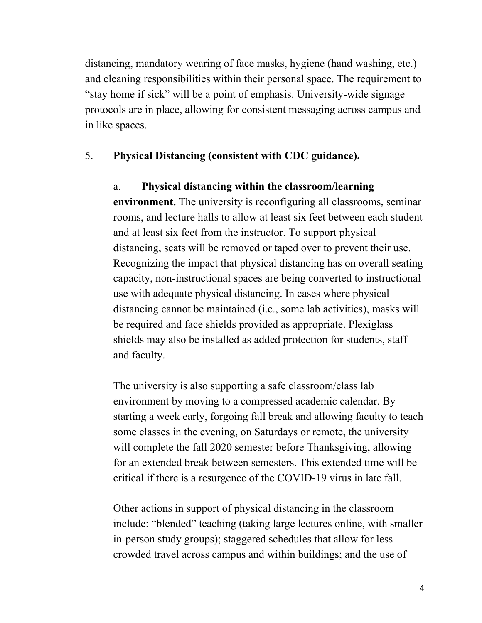distancing, mandatory wearing of face masks, hygiene (hand washing, etc.) and cleaning responsibilities within their personal space. The requirement to "stay home if sick" will be a point of emphasis. University-wide signage protocols are in place, allowing for consistent messaging across campus and in like spaces.

#### 5. **Physical Distancing (consistent with CDC guidance).**

#### a. **Physical distancing within the classroom/learning**

**environment.** The university is reconfiguring all classrooms, seminar rooms, and lecture halls to allow at least six feet between each student and at least six feet from the instructor. To support physical distancing, seats will be removed or taped over to prevent their use. Recognizing the impact that physical distancing has on overall seating capacity, non-instructional spaces are being converted to instructional use with adequate physical distancing. In cases where physical distancing cannot be maintained (i.e., some lab activities), masks will be required and face shields provided as appropriate. Plexiglass shields may also be installed as added protection for students, staff and faculty.

The university is also supporting a safe classroom/class lab environment by moving to a compressed academic calendar. By starting a week early, forgoing fall break and allowing faculty to teach some classes in the evening, on Saturdays or remote, the university will complete the fall 2020 semester before Thanksgiving, allowing for an extended break between semesters. This extended time will be critical if there is a resurgence of the COVID-19 virus in late fall.

Other actions in support of physical distancing in the classroom include: "blended" teaching (taking large lectures online, with smaller in-person study groups); staggered schedules that allow for less crowded travel across campus and within buildings; and the use of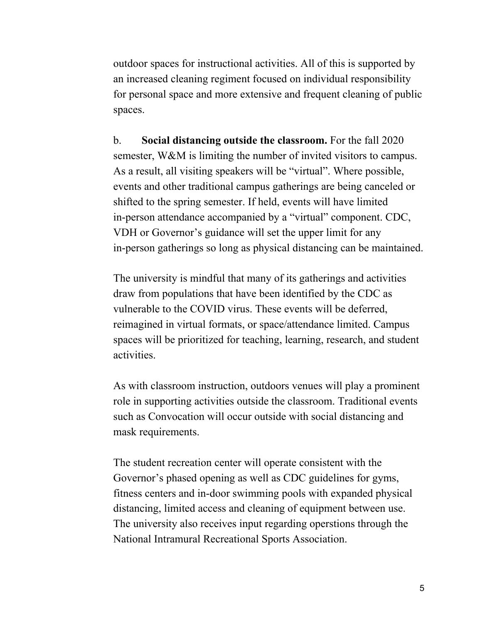outdoor spaces for instructional activities. All of this is supported by an increased cleaning regiment focused on individual responsibility for personal space and more extensive and frequent cleaning of public spaces.

b. **Social distancing outside the classroom.** For the fall 2020 semester, W&M is limiting the number of invited visitors to campus. As a result, all visiting speakers will be "virtual". Where possible, events and other traditional campus gatherings are being canceled or shifted to the spring semester. If held, events will have limited in-person attendance accompanied by a "virtual" component. CDC, VDH or Governor's guidance will set the upper limit for any in-person gatherings so long as physical distancing can be maintained.

The university is mindful that many of its gatherings and activities draw from populations that have been identified by the CDC as vulnerable to the COVID virus. These events will be deferred, reimagined in virtual formats, or space/attendance limited. Campus spaces will be prioritized for teaching, learning, research, and student activities.

As with classroom instruction, outdoors venues will play a prominent role in supporting activities outside the classroom. Traditional events such as Convocation will occur outside with social distancing and mask requirements.

The student recreation center will operate consistent with the Governor's phased opening as well as CDC guidelines for gyms, fitness centers and in-door swimming pools with expanded physical distancing, limited access and cleaning of equipment between use. The university also receives input regarding operstions through the National Intramural Recreational Sports Association.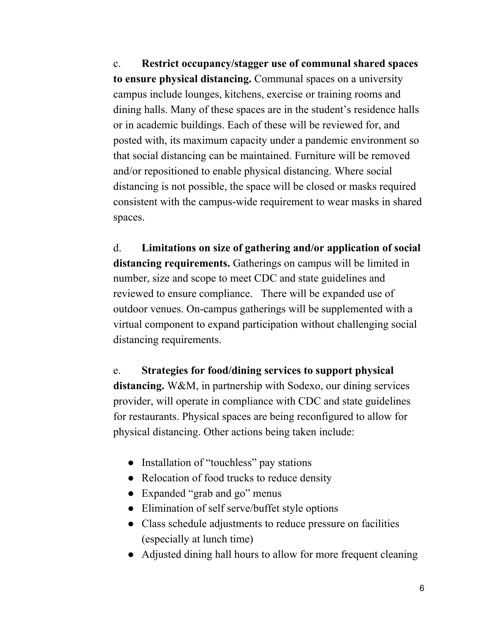c. **Restrict occupancy/stagger use of communal shared spaces to ensure physical distancing.** Communal spaces on a university campus include lounges, kitchens, exercise or training rooms and dining halls. Many of these spaces are in the student's residence halls or in academic buildings. Each of these will be reviewed for, and posted with, its maximum capacity under a pandemic environment so that social distancing can be maintained. Furniture will be removed and/or repositioned to enable physical distancing. Where social distancing is not possible, the space will be closed or masks required consistent with the campus-wide requirement to wear masks in shared spaces.

d. **Limitations on size of gathering and/or application of social distancing requirements.** Gatherings on campus will be limited in number, size and scope to meet CDC and state guidelines and reviewed to ensure compliance. There will be expanded use of outdoor venues. On-campus gatherings will be supplemented with a virtual component to expand participation without challenging social distancing requirements.

e. **Strategies for food/dining services to support physical distancing.** W&M, in partnership with Sodexo, our dining services provider, will operate in compliance with CDC and state guidelines for restaurants. Physical spaces are being reconfigured to allow for physical distancing. Other actions being taken include:

- Installation of "touchless" pay stations
- Relocation of food trucks to reduce density
- Expanded "grab and go" menus
- Elimination of self serve/buffet style options
- Class schedule adjustments to reduce pressure on facilities (especially at lunch time)
- Adjusted dining hall hours to allow for more frequent cleaning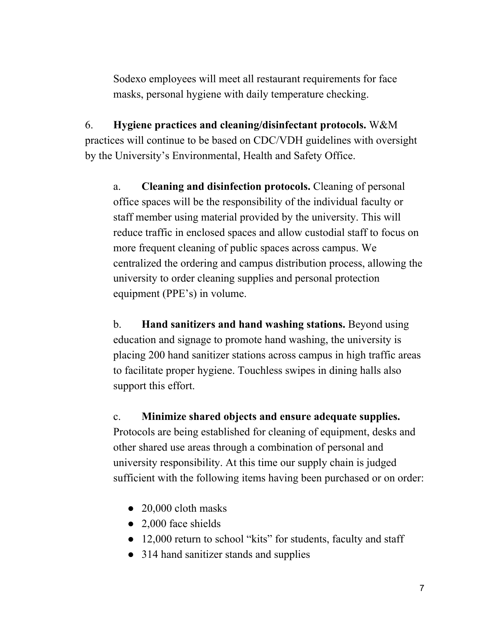Sodexo employees will meet all restaurant requirements for face masks, personal hygiene with daily temperature checking.

6. **Hygiene practices and cleaning/disinfectant protocols.** W&M practices will continue to be based on CDC/VDH guidelines with oversight by the University's Environmental, Health and Safety Office.

a. **Cleaning and disinfection protocols.** Cleaning of personal office spaces will be the responsibility of the individual faculty or staff member using material provided by the university. This will reduce traffic in enclosed spaces and allow custodial staff to focus on more frequent cleaning of public spaces across campus. We centralized the ordering and campus distribution process, allowing the university to order cleaning supplies and personal protection equipment (PPE's) in volume.

b. **Hand sanitizers and hand washing stations.** Beyond using education and signage to promote hand washing, the university is placing 200 hand sanitizer stations across campus in high traffic areas to facilitate proper hygiene. Touchless swipes in dining halls also support this effort.

#### c. **Minimize shared objects and ensure adequate supplies.**

Protocols are being established for cleaning of equipment, desks and other shared use areas through a combination of personal and university responsibility. At this time our supply chain is judged sufficient with the following items having been purchased or on order:

- 20,000 cloth masks
- 2,000 face shields
- 12,000 return to school "kits" for students, faculty and staff
- 314 hand sanitizer stands and supplies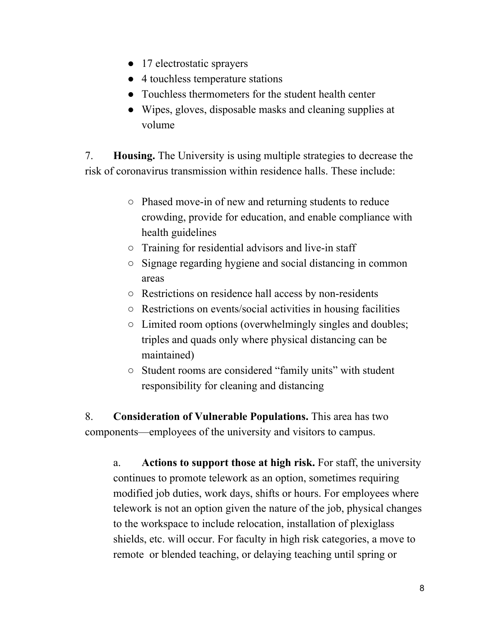- 17 electrostatic sprayers
- 4 touchless temperature stations
- Touchless thermometers for the student health center
- Wipes, gloves, disposable masks and cleaning supplies at volume

7. **Housing.** The University is using multiple strategies to decrease the risk of coronavirus transmission within residence halls. These include:

- Phased move-in of new and returning students to reduce crowding, provide for education, and enable compliance with health guidelines
- Training for residential advisors and live-in staff
- Signage regarding hygiene and social distancing in common areas
- Restrictions on residence hall access by non-residents
- Restrictions on events/social activities in housing facilities
- $\circ$  Limited room options (overwhelmingly singles and doubles; triples and quads only where physical distancing can be maintained)
- Student rooms are considered "family units" with student responsibility for cleaning and distancing

8. **Consideration of Vulnerable Populations.** This area has two components—employees of the university and visitors to campus.

a. **Actions to support those at high risk.** For staff, the university continues to promote telework as an option, sometimes requiring modified job duties, work days, shifts or hours. For employees where telework is not an option given the nature of the job, physical changes to the workspace to include relocation, installation of plexiglass shields, etc. will occur. For faculty in high risk categories, a move to remote or blended teaching, or delaying teaching until spring or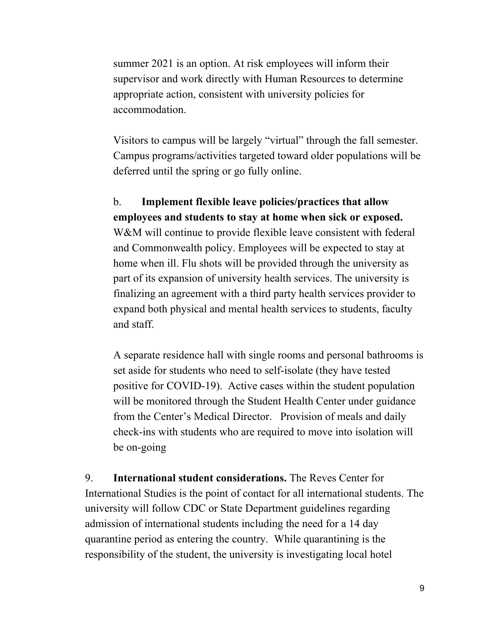summer 2021 is an option. At risk employees will inform their supervisor and work directly with Human Resources to determine appropriate action, consistent with university policies for accommodation.

Visitors to campus will be largely "virtual" through the fall semester. Campus programs/activities targeted toward older populations will be deferred until the spring or go fully online.

b. **Implement flexible leave policies/practices that allow employees and students to stay at home when sick or exposed.** W&M will continue to provide flexible leave consistent with federal and Commonwealth policy. Employees will be expected to stay at home when ill. Flu shots will be provided through the university as part of its expansion of university health services. The university is finalizing an agreement with a third party health services provider to expand both physical and mental health services to students, faculty and staff.

A separate residence hall with single rooms and personal bathrooms is set aside for students who need to self-isolate (they have tested positive for COVID-19). Active cases within the student population will be monitored through the Student Health Center under guidance from the Center's Medical Director. Provision of meals and daily check-ins with students who are required to move into isolation will be on-going

9. **International student considerations.** The Reves Center for International Studies is the point of contact for all international students. The university will follow CDC or State Department guidelines regarding admission of international students including the need for a 14 day quarantine period as entering the country. While quarantining is the responsibility of the student, the university is investigating local hotel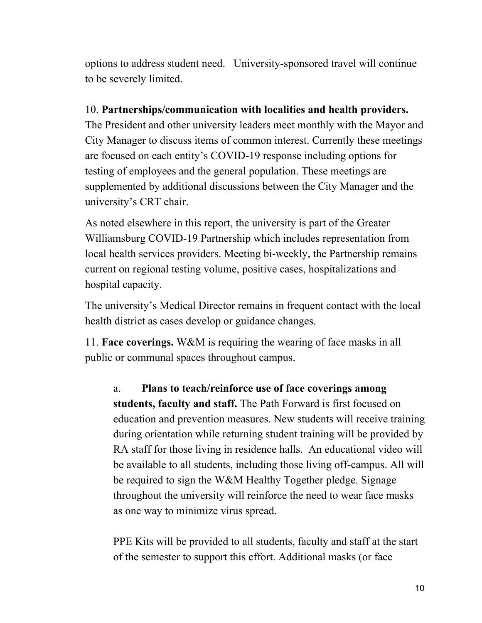options to address student need. University-sponsored travel will continue to be severely limited.

## 10. **Partnerships/communication with localities and health providers.**

The President and other university leaders meet monthly with the Mayor and City Manager to discuss items of common interest. Currently these meetings are focused on each entity's COVID-19 response including options for testing of employees and the general population. These meetings are supplemented by additional discussions between the City Manager and the university's CRT chair.

As noted elsewhere in this report, the university is part of the Greater Williamsburg COVID-19 Partnership which includes representation from local health services providers. Meeting bi-weekly, the Partnership remains current on regional testing volume, positive cases, hospitalizations and hospital capacity.

The university's Medical Director remains in frequent contact with the local health district as cases develop or guidance changes.

11. **Face coverings.** W&M is requiring the wearing of face masks in all public or communal spaces throughout campus.

a. **Plans to teach/reinforce use of face coverings among students, faculty and staff.** The Path Forward is first focused on education and prevention measures. New students will receive training during orientation while returning student training will be provided by RA staff for those living in residence halls. An educational video will be available to all students, including those living off-campus. All will be required to sign the W&M Healthy Together pledge. Signage throughout the university will reinforce the need to wear face masks as one way to minimize virus spread.

PPE Kits will be provided to all students, faculty and staff at the start of the semester to support this effort. Additional masks (or face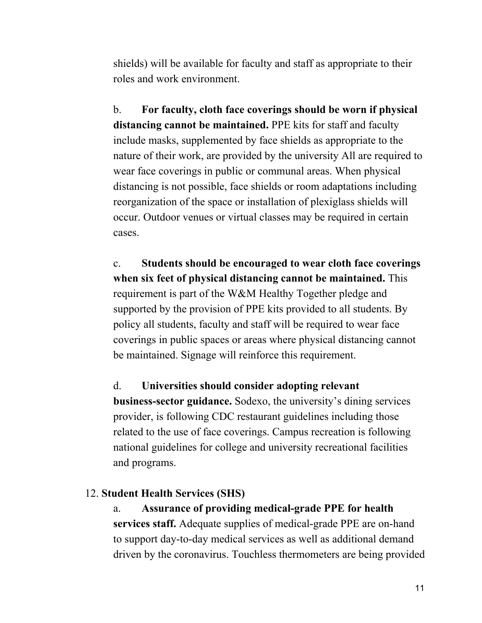shields) will be available for faculty and staff as appropriate to their roles and work environment.

b. **For faculty, cloth face coverings should be worn if physical distancing cannot be maintained.** PPE kits for staff and faculty include masks, supplemented by face shields as appropriate to the nature of their work, are provided by the university All are required to wear face coverings in public or communal areas. When physical distancing is not possible, face shields or room adaptations including reorganization of the space or installation of plexiglass shields will occur. Outdoor venues or virtual classes may be required in certain cases.

c. **Students should be encouraged to wear cloth face coverings when six feet of physical distancing cannot be maintained.** This requirement is part of the W&M Healthy Together pledge and supported by the provision of PPE kits provided to all students. By policy all students, faculty and staff will be required to wear face coverings in public spaces or areas where physical distancing cannot be maintained. Signage will reinforce this requirement.

d. **Universities should consider adopting relevant business-sector guidance.** Sodexo, the university's dining services provider, is following CDC restaurant guidelines including those related to the use of face coverings. Campus recreation is following national guidelines for college and university recreational facilities and programs.

#### 12. **Student Health Services (SHS)**

a. **Assurance of providing medical-grade PPE for health services staff.** Adequate supplies of medical-grade PPE are on-hand to support day-to-day medical services as well as additional demand driven by the coronavirus. Touchless thermometers are being provided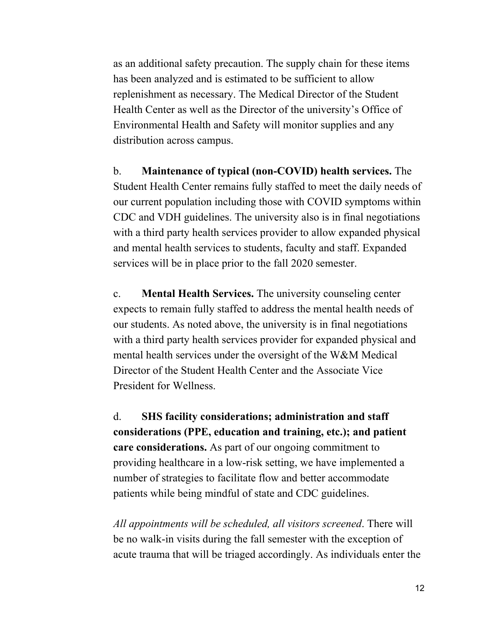as an additional safety precaution. The supply chain for these items has been analyzed and is estimated to be sufficient to allow replenishment as necessary. The Medical Director of the Student Health Center as well as the Director of the university's Office of Environmental Health and Safety will monitor supplies and any distribution across campus.

b. **Maintenance of typical (non-COVID) health services.** The Student Health Center remains fully staffed to meet the daily needs of our current population including those with COVID symptoms within CDC and VDH guidelines. The university also is in final negotiations with a third party health services provider to allow expanded physical and mental health services to students, faculty and staff. Expanded services will be in place prior to the fall 2020 semester.

c. **Mental Health Services.** The university counseling center expects to remain fully staffed to address the mental health needs of our students. As noted above, the university is in final negotiations with a third party health services provider for expanded physical and mental health services under the oversight of the W&M Medical Director of the Student Health Center and the Associate Vice President for Wellness.

d. **SHS facility considerations; administration and staff considerations (PPE, education and training, etc.); and patient care considerations.** As part of our ongoing commitment to providing healthcare in a low-risk setting, we have implemented a number of strategies to facilitate flow and better accommodate patients while being mindful of state and CDC guidelines.

*All appointments will be scheduled, all visitors screened*. There will be no walk-in visits during the fall semester with the exception of acute trauma that will be triaged accordingly. As individuals enter the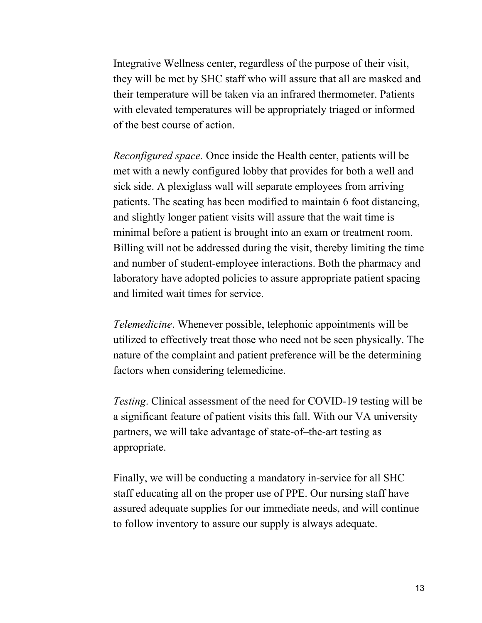Integrative Wellness center, regardless of the purpose of their visit, they will be met by SHC staff who will assure that all are masked and their temperature will be taken via an infrared thermometer. Patients with elevated temperatures will be appropriately triaged or informed of the best course of action.

*Reconfigured space.* Once inside the Health center, patients will be met with a newly configured lobby that provides for both a well and sick side. A plexiglass wall will separate employees from arriving patients. The seating has been modified to maintain 6 foot distancing, and slightly longer patient visits will assure that the wait time is minimal before a patient is brought into an exam or treatment room. Billing will not be addressed during the visit, thereby limiting the time and number of student-employee interactions. Both the pharmacy and laboratory have adopted policies to assure appropriate patient spacing and limited wait times for service.

*Telemedicine*. Whenever possible, telephonic appointments will be utilized to effectively treat those who need not be seen physically. The nature of the complaint and patient preference will be the determining factors when considering telemedicine.

*Testing*. Clinical assessment of the need for COVID-19 testing will be a significant feature of patient visits this fall. With our VA university partners, we will take advantage of state-of–the-art testing as appropriate.

Finally, we will be conducting a mandatory in-service for all SHC staff educating all on the proper use of PPE. Our nursing staff have assured adequate supplies for our immediate needs, and will continue to follow inventory to assure our supply is always adequate.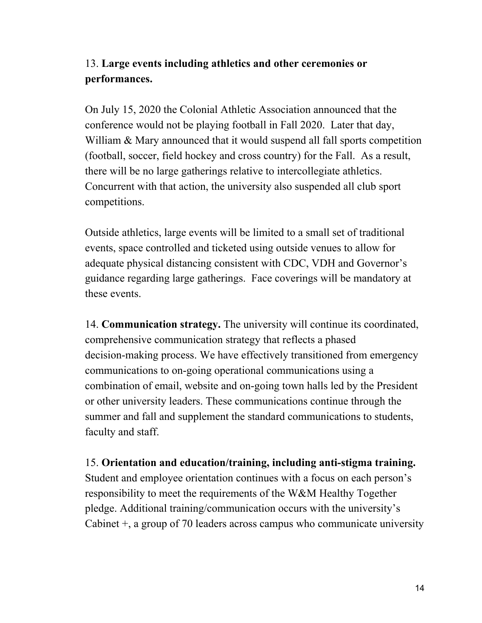# 13. **Large events including athletics and other ceremonies or performances.**

On July 15, 2020 the Colonial Athletic Association announced that the conference would not be playing football in Fall 2020. Later that day, William & Mary announced that it would suspend all fall sports competition (football, soccer, field hockey and cross country) for the Fall. As a result, there will be no large gatherings relative to intercollegiate athletics. Concurrent with that action, the university also suspended all club sport competitions.

Outside athletics, large events will be limited to a small set of traditional events, space controlled and ticketed using outside venues to allow for adequate physical distancing consistent with CDC, VDH and Governor's guidance regarding large gatherings. Face coverings will be mandatory at these events.

14. **Communication strategy.** The university will continue its coordinated, comprehensive communication strategy that reflects a phased decision-making process. We have effectively transitioned from emergency communications to on-going operational communications using a combination of email, website and on-going town halls led by the President or other university leaders. These communications continue through the summer and fall and supplement the standard communications to students, faculty and staff.

15. **Orientation and education/training, including anti-stigma training.** Student and employee orientation continues with a focus on each person's responsibility to meet the requirements of the W&M Healthy Together pledge. Additional training/communication occurs with the university's Cabinet +, a group of 70 leaders across campus who communicate university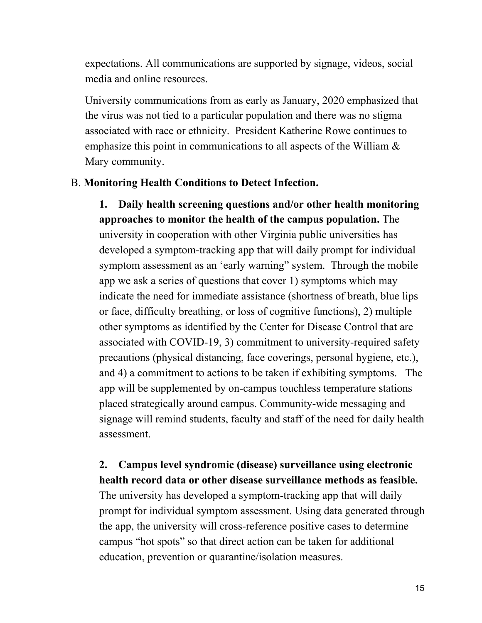expectations. All communications are supported by signage, videos, social media and online resources.

University communications from as early as January, 2020 emphasized that the virus was not tied to a particular population and there was no stigma associated with race or ethnicity. President Katherine Rowe continues to emphasize this point in communications to all aspects of the William  $\&$ Mary community.

#### B. **Monitoring Health Conditions to Detect Infection.**

**1. Daily health screening questions and/or other health monitoring approaches to monitor the health of the campus population.** The university in cooperation with other Virginia public universities has developed a symptom-tracking app that will daily prompt for individual symptom assessment as an 'early warning" system. Through the mobile app we ask a series of questions that cover 1) symptoms which may indicate the need for immediate assistance (shortness of breath, blue lips or face, difficulty breathing, or loss of cognitive functions), 2) multiple other symptoms as identified by the Center for Disease Control that are associated with COVID-19, 3) commitment to university-required safety precautions (physical distancing, face coverings, personal hygiene, etc.), and 4) a commitment to actions to be taken if exhibiting symptoms. The app will be supplemented by on-campus touchless temperature stations placed strategically around campus. Community-wide messaging and signage will remind students, faculty and staff of the need for daily health assessment.

## **2. Campus level syndromic (disease) surveillance using electronic health record data or other disease surveillance methods as feasible.**

The university has developed a symptom-tracking app that will daily prompt for individual symptom assessment. Using data generated through the app, the university will cross-reference positive cases to determine campus "hot spots" so that direct action can be taken for additional education, prevention or quarantine/isolation measures.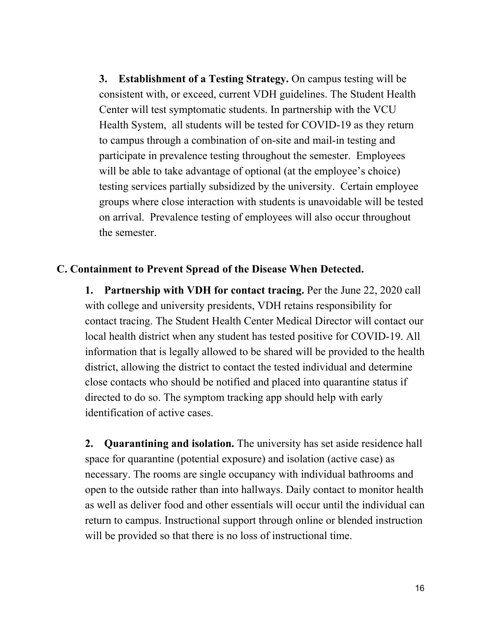**3. Establishment of a Testing Strategy.** On campus testing will be consistent with, or exceed, current VDH guidelines. The Student Health Center will test symptomatic students. In partnership with the VCU Health System, all students will be tested for COVID-19 as they return to campus through a combination of on-site and mail-in testing and participate in prevalence testing throughout the semester. Employees will be able to take advantage of optional (at the employee's choice) testing services partially subsidized by the university. Certain employee groups where close interaction with students is unavoidable will be tested on arrival. Prevalence testing of employees will also occur throughout the semester.

#### **C. Containment to Prevent Spread of the Disease When Detected.**

**1. Partnership with VDH for contact tracing.** Per the June 22, 2020 call with college and university presidents, VDH retains responsibility for contact tracing. The Student Health Center Medical Director will contact our local health district when any student has tested positive for COVID-19. All information that is legally allowed to be shared will be provided to the health district, allowing the district to contact the tested individual and determine close contacts who should be notified and placed into quarantine status if directed to do so. The symptom tracking app should help with early identification of active cases.

**2. Quarantining and isolation.** The university has set aside residence hall space for quarantine (potential exposure) and isolation (active case) as necessary. The rooms are single occupancy with individual bathrooms and open to the outside rather than into hallways. Daily contact to monitor health as well as deliver food and other essentials will occur until the individual can return to campus. Instructional support through online or blended instruction will be provided so that there is no loss of instructional time.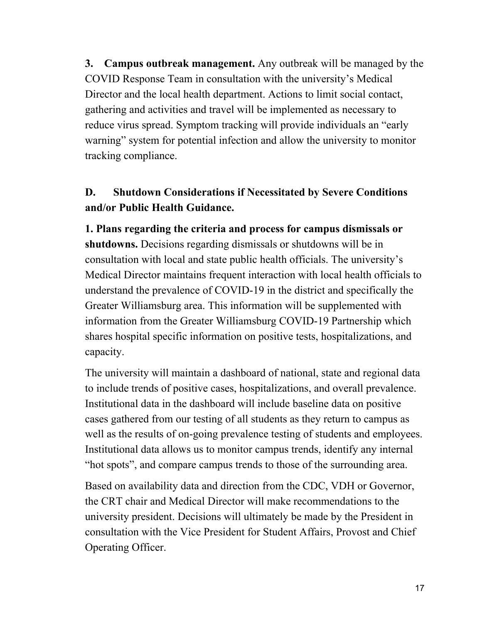**3. Campus outbreak management.** Any outbreak will be managed by the COVID Response Team in consultation with the university's Medical Director and the local health department. Actions to limit social contact, gathering and activities and travel will be implemented as necessary to reduce virus spread. Symptom tracking will provide individuals an "early warning" system for potential infection and allow the university to monitor tracking compliance.

# **D. Shutdown Considerations if Necessitated by Severe Conditions and/or Public Health Guidance.**

**1. Plans regarding the criteria and process for campus dismissals or shutdowns.** Decisions regarding dismissals or shutdowns will be in consultation with local and state public health officials. The university's Medical Director maintains frequent interaction with local health officials to understand the prevalence of COVID-19 in the district and specifically the Greater Williamsburg area. This information will be supplemented with information from the Greater Williamsburg COVID-19 Partnership which shares hospital specific information on positive tests, hospitalizations, and capacity.

The university will maintain a dashboard of national, state and regional data to include trends of positive cases, hospitalizations, and overall prevalence. Institutional data in the dashboard will include baseline data on positive cases gathered from our testing of all students as they return to campus as well as the results of on-going prevalence testing of students and employees. Institutional data allows us to monitor campus trends, identify any internal "hot spots", and compare campus trends to those of the surrounding area.

Based on availability data and direction from the CDC, VDH or Governor, the CRT chair and Medical Director will make recommendations to the university president. Decisions will ultimately be made by the President in consultation with the Vice President for Student Affairs, Provost and Chief Operating Officer.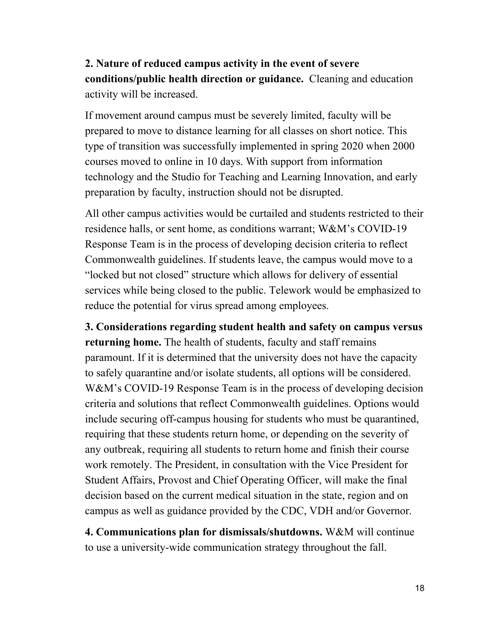**2. Nature of reduced campus activity in the event of severe conditions/public health direction or guidance.** Cleaning and education activity will be increased.

If movement around campus must be severely limited, faculty will be prepared to move to distance learning for all classes on short notice. This type of transition was successfully implemented in spring 2020 when 2000 courses moved to online in 10 days. With support from information technology and the Studio for Teaching and Learning Innovation, and early preparation by faculty, instruction should not be disrupted.

All other campus activities would be curtailed and students restricted to their residence halls, or sent home, as conditions warrant; W&M's COVID-19 Response Team is in the process of developing decision criteria to reflect Commonwealth guidelines. If students leave, the campus would move to a "locked but not closed" structure which allows for delivery of essential services while being closed to the public. Telework would be emphasized to reduce the potential for virus spread among employees.

**3. Considerations regarding student health and safety on campus versus returning home.** The health of students, faculty and staff remains paramount. If it is determined that the university does not have the capacity to safely quarantine and/or isolate students, all options will be considered. W&M's COVID-19 Response Team is in the process of developing decision criteria and solutions that reflect Commonwealth guidelines. Options would include securing off-campus housing for students who must be quarantined, requiring that these students return home, or depending on the severity of any outbreak, requiring all students to return home and finish their course work remotely. The President, in consultation with the Vice President for Student Affairs, Provost and Chief Operating Officer, will make the final decision based on the current medical situation in the state, region and on campus as well as guidance provided by the CDC, VDH and/or Governor.

**4. Communications plan for dismissals/shutdowns.** W&M will continue to use a university-wide communication strategy throughout the fall.